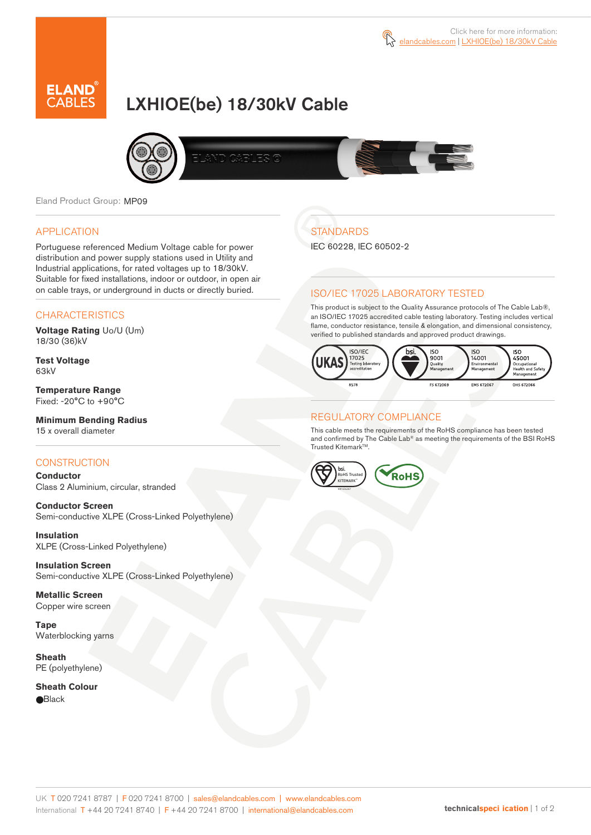

# LXHIOE(be) 18/30kV Cable



Eland Product Group: MP09

#### APPLICATION

Portuguese referenced Medium Voltage cable for power distribution and power supply stations used in Utility and Industrial applications, for rated voltages up to 18/30kV. Suitable for fixed installations, indoor or outdoor, in open air on cable trays, or underground in ducts or directly buried.

### **CHARACTERISTICS**

**Voltage Rating** Uo/U (Um) 18/30 (36)kV

**Test Voltage** 63kV

**Temperature Range** Fixed: -20°C to +90°C

**Minimum Bending Radius** 15 x overall diameter

### **CONSTRUCTION**

**Conductor**  Class 2 Aluminium, circular, stranded

**Conductor Screen** Semi-conductive XLPE (Cross-Linked Polyethylene)

**Insulation** XLPE (Cross-Linked Polyethylene)

**Insulation Screen** Semi-conductive XLPE (Cross-Linked Polyethylene)

**Metallic Screen**  Copper wire screen

**Tape** Waterblocking yarns

**Sheath** PE (polyethylene)

**Sheath Colour Black** 

# **STANDARDS**

IEC 60228, IEC 60502-2

### ISO/IEC 17025 LABORATORY TESTED

This product is subject to the Quality Assurance protocols of The Cable Lab®, an ISO/IEC 17025 accredited cable testing laboratory. Testing includes vertical flame, conductor resistance, tensile & elongation, and dimensional consistency, verified to published standards and approved product drawings.



### REGULATORY COMPLIANCE

This cable meets the requirements of the RoHS compliance has been tested and confirmed by The Cable Lab® as meeting the requirements of the BSI RoHS Trusted Kitemark™.



UK T 020 7241 8787 | F 020 7241 8700 | sales@elandcables.com | www.elandcables.com International T +44 20 7241 8740 | F +44 20 7241 8700 | international@elandcables.com